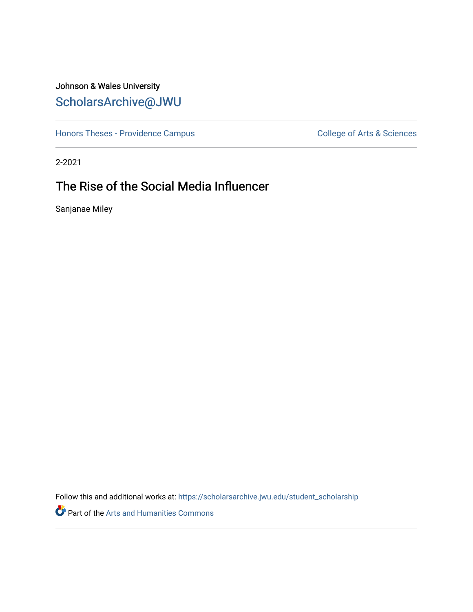## Johnson & Wales University [ScholarsArchive@JWU](https://scholarsarchive.jwu.edu/)

[Honors Theses - Providence Campus](https://scholarsarchive.jwu.edu/student_scholarship) College of Arts & Sciences

2-2021

# The Rise of the Social Media Influencer

Sanjanae Miley

Follow this and additional works at: [https://scholarsarchive.jwu.edu/student\\_scholarship](https://scholarsarchive.jwu.edu/student_scholarship?utm_source=scholarsarchive.jwu.edu%2Fstudent_scholarship%2F44&utm_medium=PDF&utm_campaign=PDFCoverPages)

Part of the [Arts and Humanities Commons](http://network.bepress.com/hgg/discipline/438?utm_source=scholarsarchive.jwu.edu%2Fstudent_scholarship%2F44&utm_medium=PDF&utm_campaign=PDFCoverPages)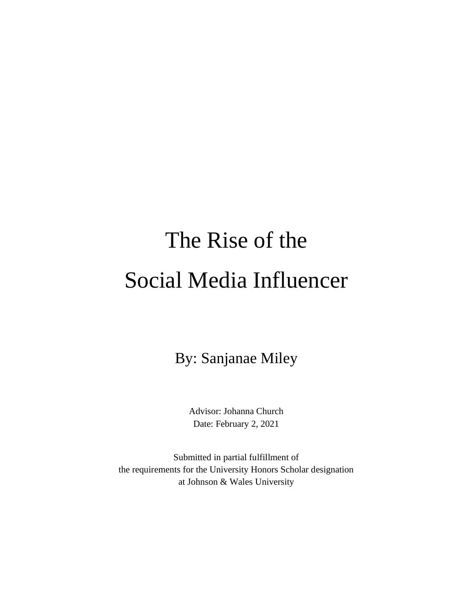# The Rise of the Social Media Influencer

By: Sanjanae Miley

Advisor: Johanna Church Date: February 2, 2021

Submitted in partial fulfillment of the requirements for the University Honors Scholar designation at Johnson & Wales University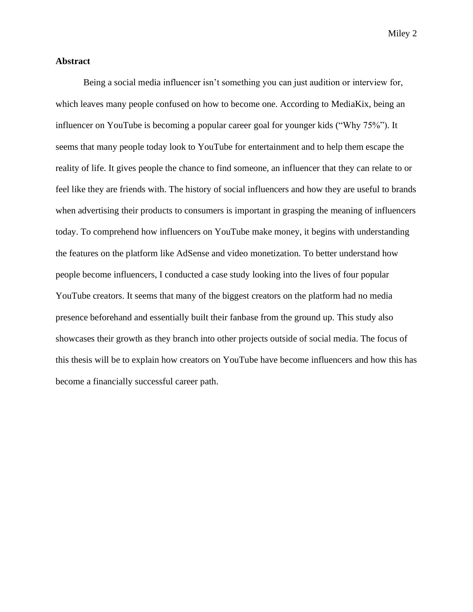#### **Abstract**

Being a social media influencer isn't something you can just audition or interview for, which leaves many people confused on how to become one. According to MediaKix, being an influencer on YouTube is becoming a popular career goal for younger kids ("Why 75%"). It seems that many people today look to YouTube for entertainment and to help them escape the reality of life. It gives people the chance to find someone, an influencer that they can relate to or feel like they are friends with. The history of social influencers and how they are useful to brands when advertising their products to consumers is important in grasping the meaning of influencers today. To comprehend how influencers on YouTube make money, it begins with understanding the features on the platform like AdSense and video monetization. To better understand how people become influencers, I conducted a case study looking into the lives of four popular YouTube creators. It seems that many of the biggest creators on the platform had no media presence beforehand and essentially built their fanbase from the ground up. This study also showcases their growth as they branch into other projects outside of social media. The focus of this thesis will be to explain how creators on YouTube have become influencers and how this has become a financially successful career path.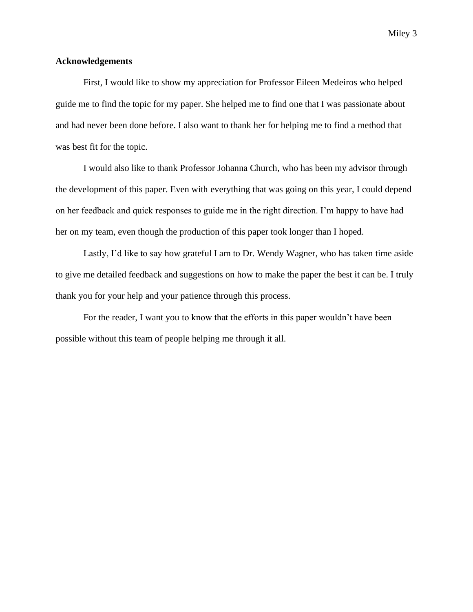#### **Acknowledgements**

First, I would like to show my appreciation for Professor Eileen Medeiros who helped guide me to find the topic for my paper. She helped me to find one that I was passionate about and had never been done before. I also want to thank her for helping me to find a method that was best fit for the topic.

I would also like to thank Professor Johanna Church, who has been my advisor through the development of this paper. Even with everything that was going on this year, I could depend on her feedback and quick responses to guide me in the right direction. I'm happy to have had her on my team, even though the production of this paper took longer than I hoped.

Lastly, I'd like to say how grateful I am to Dr. Wendy Wagner, who has taken time aside to give me detailed feedback and suggestions on how to make the paper the best it can be. I truly thank you for your help and your patience through this process.

For the reader, I want you to know that the efforts in this paper wouldn't have been possible without this team of people helping me through it all.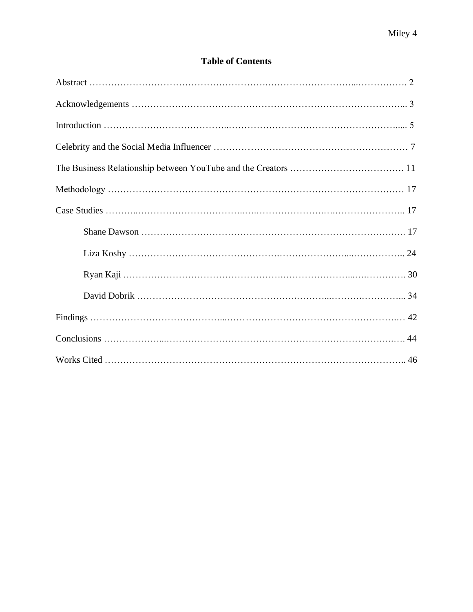### **Table of Contents**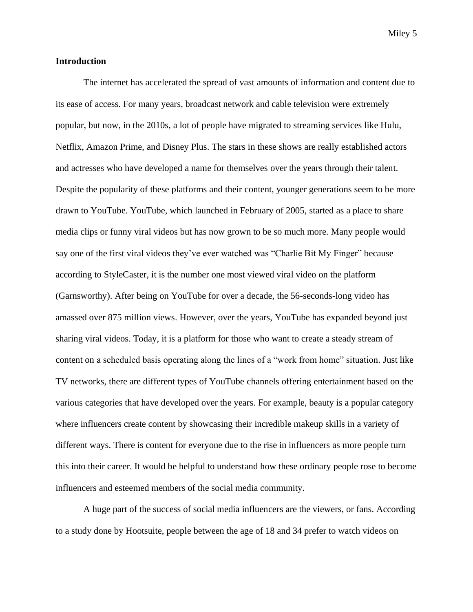#### **Introduction**

The internet has accelerated the spread of vast amounts of information and content due to its ease of access. For many years, broadcast network and cable television were extremely popular, but now, in the 2010s, a lot of people have migrated to streaming services like Hulu, Netflix, Amazon Prime, and Disney Plus. The stars in these shows are really established actors and actresses who have developed a name for themselves over the years through their talent. Despite the popularity of these platforms and their content, younger generations seem to be more drawn to YouTube. YouTube, which launched in February of 2005, started as a place to share media clips or funny viral videos but has now grown to be so much more. Many people would say one of the first viral videos they've ever watched was "Charlie Bit My Finger" because according to StyleCaster, it is the number one most viewed viral video on the platform (Garnsworthy). After being on YouTube for over a decade, the 56-seconds-long video has amassed over 875 million views. However, over the years, YouTube has expanded beyond just sharing viral videos. Today, it is a platform for those who want to create a steady stream of content on a scheduled basis operating along the lines of a "work from home" situation. Just like TV networks, there are different types of YouTube channels offering entertainment based on the various categories that have developed over the years. For example, beauty is a popular category where influencers create content by showcasing their incredible makeup skills in a variety of different ways. There is content for everyone due to the rise in influencers as more people turn this into their career. It would be helpful to understand how these ordinary people rose to become influencers and esteemed members of the social media community.

A huge part of the success of social media influencers are the viewers, or fans. According to a study done by Hootsuite, people between the age of 18 and 34 prefer to watch videos on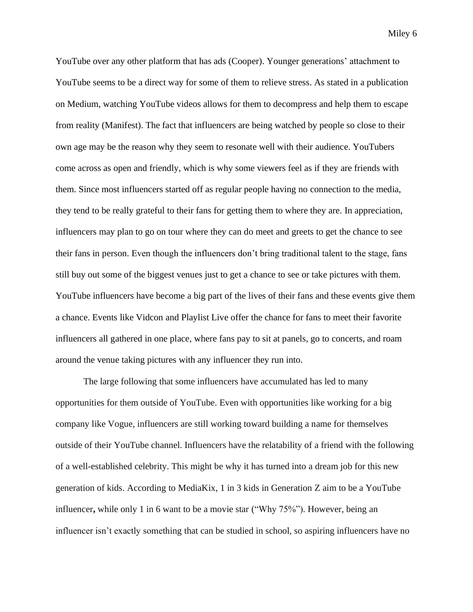YouTube over any other platform that has ads (Cooper). Younger generations' attachment to YouTube seems to be a direct way for some of them to relieve stress. As stated in a publication on Medium, watching YouTube videos allows for them to decompress and help them to escape from reality (Manifest). The fact that influencers are being watched by people so close to their own age may be the reason why they seem to resonate well with their audience. YouTubers come across as open and friendly, which is why some viewers feel as if they are friends with them. Since most influencers started off as regular people having no connection to the media, they tend to be really grateful to their fans for getting them to where they are. In appreciation, influencers may plan to go on tour where they can do meet and greets to get the chance to see their fans in person. Even though the influencers don't bring traditional talent to the stage, fans still buy out some of the biggest venues just to get a chance to see or take pictures with them. YouTube influencers have become a big part of the lives of their fans and these events give them a chance. Events like Vidcon and Playlist Live offer the chance for fans to meet their favorite influencers all gathered in one place, where fans pay to sit at panels, go to concerts, and roam around the venue taking pictures with any influencer they run into.

The large following that some influencers have accumulated has led to many opportunities for them outside of YouTube. Even with opportunities like working for a big company like Vogue, influencers are still working toward building a name for themselves outside of their YouTube channel. Influencers have the relatability of a friend with the following of a well-established celebrity. This might be why it has turned into a dream job for this new generation of kids. According to MediaKix, 1 in 3 kids in Generation Z aim to be a YouTube influencer**,** while only 1 in 6 want to be a movie star ("Why 75%"). However, being an influencer isn't exactly something that can be studied in school, so aspiring influencers have no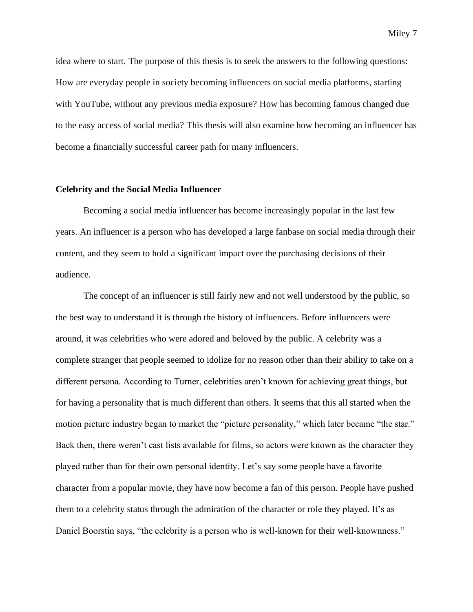idea where to start. The purpose of this thesis is to seek the answers to the following questions: How are everyday people in society becoming influencers on social media platforms, starting with YouTube, without any previous media exposure? How has becoming famous changed due to the easy access of social media? This thesis will also examine how becoming an influencer has

## **Celebrity and the Social Media Influencer**

become a financially successful career path for many influencers.

Becoming a social media influencer has become increasingly popular in the last few years. An influencer is a person who has developed a large fanbase on social media through their content, and they seem to hold a significant impact over the purchasing decisions of their audience.

The concept of an influencer is still fairly new and not well understood by the public, so the best way to understand it is through the history of influencers. Before influencers were around, it was celebrities who were adored and beloved by the public. A celebrity was a complete stranger that people seemed to idolize for no reason other than their ability to take on a different persona. According to Turner, celebrities aren't known for achieving great things, but for having a personality that is much different than others. It seems that this all started when the motion picture industry began to market the "picture personality," which later became "the star." Back then, there weren't cast lists available for films, so actors were known as the character they played rather than for their own personal identity. Let's say some people have a favorite character from a popular movie, they have now become a fan of this person. People have pushed them to a celebrity status through the admiration of the character or role they played. It's as Daniel Boorstin says, "the celebrity is a person who is well-known for their well-knownness."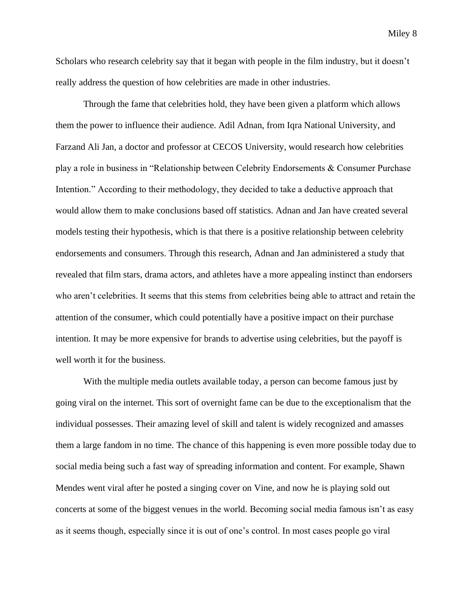Scholars who research celebrity say that it began with people in the film industry, but it doesn't really address the question of how celebrities are made in other industries.

Through the fame that celebrities hold, they have been given a platform which allows them the power to influence their audience. Adil Adnan, from Iqra National University, and Farzand Ali Jan, a doctor and professor at CECOS University, would research how celebrities play a role in business in "Relationship between Celebrity Endorsements & Consumer Purchase Intention." According to their methodology, they decided to take a deductive approach that would allow them to make conclusions based off statistics. Adnan and Jan have created several models testing their hypothesis, which is that there is a positive relationship between celebrity endorsements and consumers. Through this research, Adnan and Jan administered a study that revealed that film stars, drama actors, and athletes have a more appealing instinct than endorsers who aren't celebrities. It seems that this stems from celebrities being able to attract and retain the attention of the consumer, which could potentially have a positive impact on their purchase intention. It may be more expensive for brands to advertise using celebrities, but the payoff is well worth it for the business.

With the multiple media outlets available today, a person can become famous just by going viral on the internet. This sort of overnight fame can be due to the exceptionalism that the individual possesses. Their amazing level of skill and talent is widely recognized and amasses them a large fandom in no time. The chance of this happening is even more possible today due to social media being such a fast way of spreading information and content. For example, Shawn Mendes went viral after he posted a singing cover on Vine, and now he is playing sold out concerts at some of the biggest venues in the world. Becoming social media famous isn't as easy as it seems though, especially since it is out of one's control. In most cases people go viral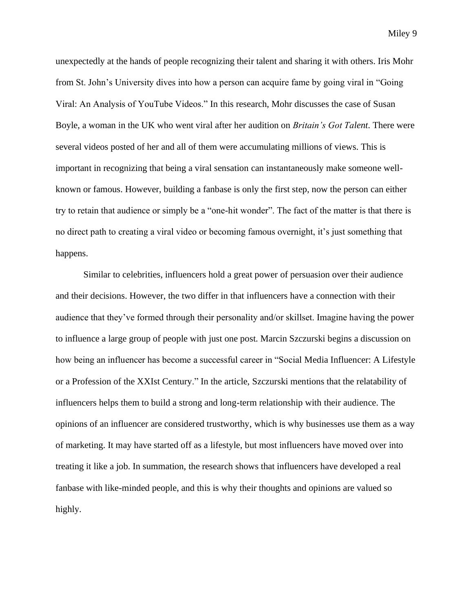unexpectedly at the hands of people recognizing their talent and sharing it with others. Iris Mohr from St. John's University dives into how a person can acquire fame by going viral in "Going Viral: An Analysis of YouTube Videos." In this research, Mohr discusses the case of Susan Boyle, a woman in the UK who went viral after her audition on *Britain's Got Talent*. There were several videos posted of her and all of them were accumulating millions of views. This is important in recognizing that being a viral sensation can instantaneously make someone wellknown or famous. However, building a fanbase is only the first step, now the person can either try to retain that audience or simply be a "one-hit wonder". The fact of the matter is that there is no direct path to creating a viral video or becoming famous overnight, it's just something that happens.

Similar to celebrities, influencers hold a great power of persuasion over their audience and their decisions. However, the two differ in that influencers have a connection with their audience that they've formed through their personality and/or skillset. Imagine having the power to influence a large group of people with just one post. Marcin Szczurski begins a discussion on how being an influencer has become a successful career in "Social Media Influencer: A Lifestyle or a Profession of the XXIst Century." In the article, Szczurski mentions that the relatability of influencers helps them to build a strong and long-term relationship with their audience. The opinions of an influencer are considered trustworthy, which is why businesses use them as a way of marketing. It may have started off as a lifestyle, but most influencers have moved over into treating it like a job. In summation, the research shows that influencers have developed a real fanbase with like-minded people, and this is why their thoughts and opinions are valued so highly.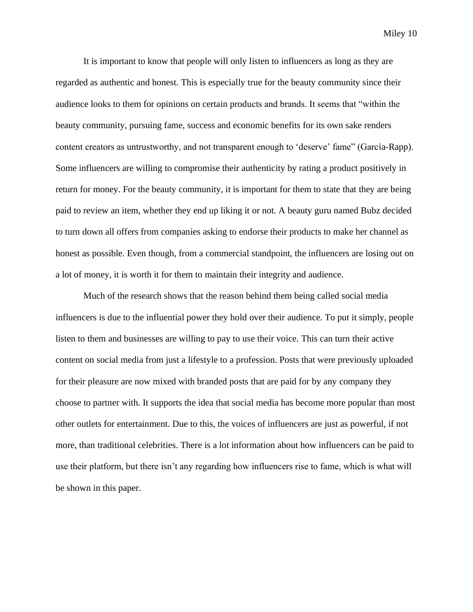It is important to know that people will only listen to influencers as long as they are regarded as authentic and honest. This is especially true for the beauty community since their audience looks to them for opinions on certain products and brands. It seems that "within the beauty community, pursuing fame, success and economic benefits for its own sake renders content creators as untrustworthy, and not transparent enough to 'deserve' fame" (García-Rapp). Some influencers are willing to compromise their authenticity by rating a product positively in return for money. For the beauty community, it is important for them to state that they are being paid to review an item, whether they end up liking it or not. A beauty guru named Bubz decided to turn down all offers from companies asking to endorse their products to make her channel as honest as possible. Even though, from a commercial standpoint, the influencers are losing out on a lot of money, it is worth it for them to maintain their integrity and audience.

Much of the research shows that the reason behind them being called social media influencers is due to the influential power they hold over their audience. To put it simply, people listen to them and businesses are willing to pay to use their voice. This can turn their active content on social media from just a lifestyle to a profession. Posts that were previously uploaded for their pleasure are now mixed with branded posts that are paid for by any company they choose to partner with. It supports the idea that social media has become more popular than most other outlets for entertainment. Due to this, the voices of influencers are just as powerful, if not more, than traditional celebrities. There is a lot information about how influencers can be paid to use their platform, but there isn't any regarding how influencers rise to fame, which is what will be shown in this paper.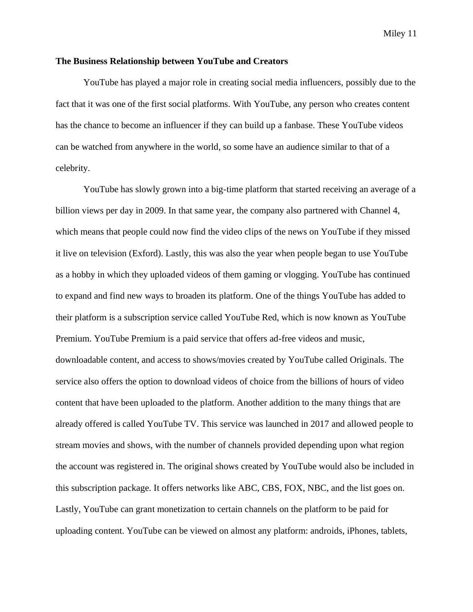#### **The Business Relationship between YouTube and Creators**

YouTube has played a major role in creating social media influencers, possibly due to the fact that it was one of the first social platforms. With YouTube, any person who creates content has the chance to become an influencer if they can build up a fanbase. These YouTube videos can be watched from anywhere in the world, so some have an audience similar to that of a celebrity.

YouTube has slowly grown into a big-time platform that started receiving an average of a billion views per day in 2009. In that same year, the company also partnered with Channel 4, which means that people could now find the video clips of the news on YouTube if they missed it live on television (Exford). Lastly, this was also the year when people began to use YouTube as a hobby in which they uploaded videos of them gaming or vlogging. YouTube has continued to expand and find new ways to broaden its platform. One of the things YouTube has added to their platform is a subscription service called YouTube Red, which is now known as YouTube Premium. YouTube Premium is a paid service that offers ad-free videos and music, downloadable content, and access to shows/movies created by YouTube called Originals. The service also offers the option to download videos of choice from the billions of hours of video content that have been uploaded to the platform. Another addition to the many things that are already offered is called YouTube TV. This service was launched in 2017 and allowed people to stream movies and shows, with the number of channels provided depending upon what region the account was registered in. The original shows created by YouTube would also be included in this subscription package. It offers networks like ABC, CBS, FOX, NBC, and the list goes on. Lastly, YouTube can grant monetization to certain channels on the platform to be paid for uploading content. YouTube can be viewed on almost any platform: androids, iPhones, tablets,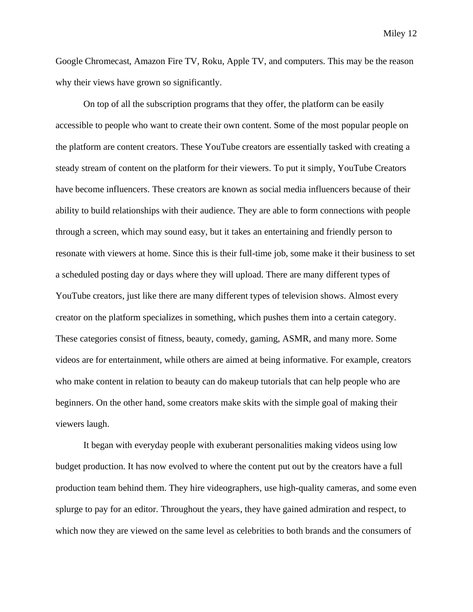Google Chromecast, Amazon Fire TV, Roku, Apple TV, and computers. This may be the reason why their views have grown so significantly.

On top of all the subscription programs that they offer, the platform can be easily accessible to people who want to create their own content. Some of the most popular people on the platform are content creators. These YouTube creators are essentially tasked with creating a steady stream of content on the platform for their viewers. To put it simply, YouTube Creators have become influencers. These creators are known as social media influencers because of their ability to build relationships with their audience. They are able to form connections with people through a screen, which may sound easy, but it takes an entertaining and friendly person to resonate with viewers at home. Since this is their full-time job, some make it their business to set a scheduled posting day or days where they will upload. There are many different types of YouTube creators, just like there are many different types of television shows. Almost every creator on the platform specializes in something, which pushes them into a certain category. These categories consist of fitness, beauty, comedy, gaming, ASMR, and many more. Some videos are for entertainment, while others are aimed at being informative. For example, creators who make content in relation to beauty can do makeup tutorials that can help people who are beginners. On the other hand, some creators make skits with the simple goal of making their viewers laugh.

It began with everyday people with exuberant personalities making videos using low budget production. It has now evolved to where the content put out by the creators have a full production team behind them. They hire videographers, use high-quality cameras, and some even splurge to pay for an editor. Throughout the years, they have gained admiration and respect, to which now they are viewed on the same level as celebrities to both brands and the consumers of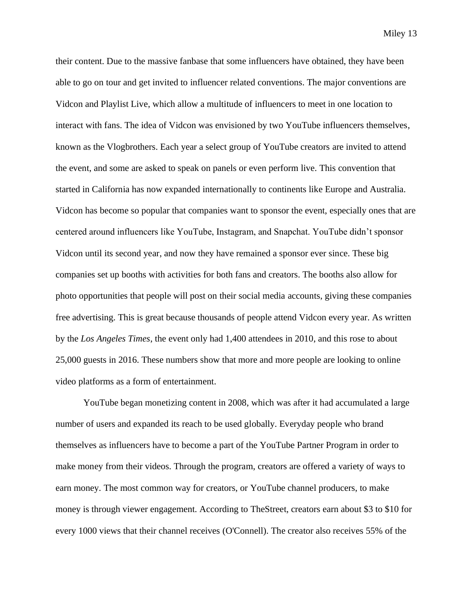their content. Due to the massive fanbase that some influencers have obtained, they have been able to go on tour and get invited to influencer related conventions. The major conventions are Vidcon and Playlist Live, which allow a multitude of influencers to meet in one location to interact with fans. The idea of Vidcon was envisioned by two YouTube influencers themselves, known as the Vlogbrothers. Each year a select group of YouTube creators are invited to attend the event, and some are asked to speak on panels or even perform live. This convention that started in California has now expanded internationally to continents like Europe and Australia. Vidcon has become so popular that companies want to sponsor the event, especially ones that are centered around influencers like YouTube, Instagram, and Snapchat. YouTube didn't sponsor Vidcon until its second year, and now they have remained a sponsor ever since. These big companies set up booths with activities for both fans and creators. The booths also allow for photo opportunities that people will post on their social media accounts, giving these companies free advertising. This is great because thousands of people attend Vidcon every year. As written by the *Los Angeles Times*, the event only had 1,400 attendees in 2010, and this rose to about 25,000 guests in 2016. These numbers show that more and more people are looking to online video platforms as a form of entertainment.

YouTube began monetizing content in 2008, which was after it had accumulated a large number of users and expanded its reach to be used globally. Everyday people who brand themselves as influencers have to become a part of the YouTube Partner Program in order to make money from their videos. Through the program, creators are offered a variety of ways to earn money. The most common way for creators, or YouTube channel producers, to make money is through viewer engagement. According to TheStreet, creators earn about \$3 to \$10 for every 1000 views that their channel receives (O'Connell). The creator also receives 55% of the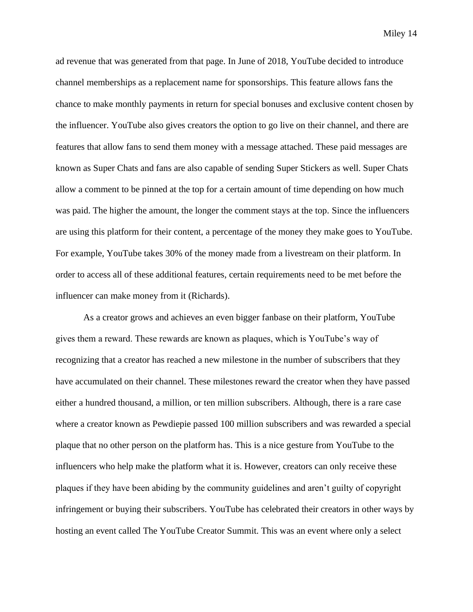ad revenue that was generated from that page. In June of 2018, YouTube decided to introduce channel memberships as a replacement name for sponsorships. This feature allows fans the chance to make monthly payments in return for special bonuses and exclusive content chosen by the influencer. YouTube also gives creators the option to go live on their channel, and there are features that allow fans to send them money with a message attached. These paid messages are known as Super Chats and fans are also capable of sending Super Stickers as well. Super Chats allow a comment to be pinned at the top for a certain amount of time depending on how much was paid. The higher the amount, the longer the comment stays at the top. Since the influencers are using this platform for their content, a percentage of the money they make goes to YouTube. For example, YouTube takes 30% of the money made from a livestream on their platform. In order to access all of these additional features, certain requirements need to be met before the influencer can make money from it (Richards).

As a creator grows and achieves an even bigger fanbase on their platform, YouTube gives them a reward. These rewards are known as plaques, which is YouTube's way of recognizing that a creator has reached a new milestone in the number of subscribers that they have accumulated on their channel. These milestones reward the creator when they have passed either a hundred thousand, a million, or ten million subscribers. Although, there is a rare case where a creator known as Pewdiepie passed 100 million subscribers and was rewarded a special plaque that no other person on the platform has. This is a nice gesture from YouTube to the influencers who help make the platform what it is. However, creators can only receive these plaques if they have been abiding by the community guidelines and aren't guilty of copyright infringement or buying their subscribers. YouTube has celebrated their creators in other ways by hosting an event called The YouTube Creator Summit. This was an event where only a select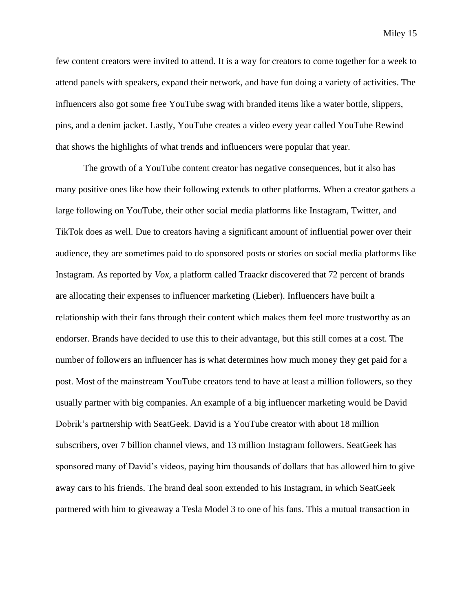few content creators were invited to attend. It is a way for creators to come together for a week to attend panels with speakers, expand their network, and have fun doing a variety of activities. The influencers also got some free YouTube swag with branded items like a water bottle, slippers, pins, and a denim jacket. Lastly, YouTube creates a video every year called YouTube Rewind that shows the highlights of what trends and influencers were popular that year.

The growth of a YouTube content creator has negative consequences, but it also has many positive ones like how their following extends to other platforms. When a creator gathers a large following on YouTube, their other social media platforms like Instagram, Twitter, and TikTok does as well. Due to creators having a significant amount of influential power over their audience, they are sometimes paid to do sponsored posts or stories on social media platforms like Instagram. As reported by *Vox,* a platform called Traackr discovered that 72 percent of brands are allocating their expenses to influencer marketing (Lieber). Influencers have built a relationship with their fans through their content which makes them feel more trustworthy as an endorser. Brands have decided to use this to their advantage, but this still comes at a cost. The number of followers an influencer has is what determines how much money they get paid for a post. Most of the mainstream YouTube creators tend to have at least a million followers, so they usually partner with big companies. An example of a big influencer marketing would be David Dobrik's partnership with SeatGeek. David is a YouTube creator with about 18 million subscribers, over 7 billion channel views, and 13 million Instagram followers. SeatGeek has sponsored many of David's videos, paying him thousands of dollars that has allowed him to give away cars to his friends. The brand deal soon extended to his Instagram, in which SeatGeek partnered with him to giveaway a Tesla Model 3 to one of his fans. This a mutual transaction in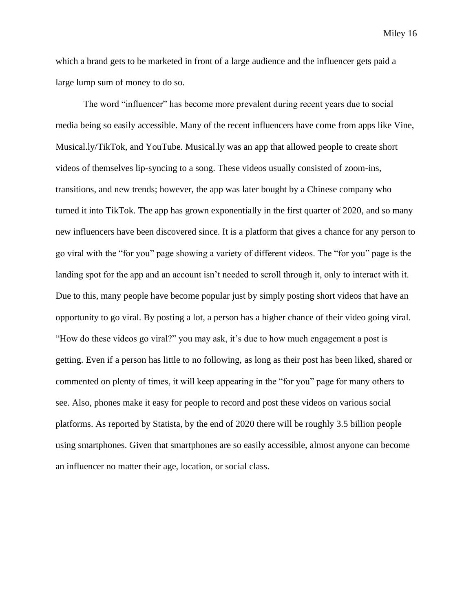which a brand gets to be marketed in front of a large audience and the influencer gets paid a large lump sum of money to do so.

The word "influencer" has become more prevalent during recent years due to social media being so easily accessible. Many of the recent influencers have come from apps like Vine, Musical.ly/TikTok, and YouTube. Musical.ly was an app that allowed people to create short videos of themselves lip-syncing to a song. These videos usually consisted of zoom-ins, transitions, and new trends; however, the app was later bought by a Chinese company who turned it into TikTok. The app has grown exponentially in the first quarter of 2020, and so many new influencers have been discovered since. It is a platform that gives a chance for any person to go viral with the "for you" page showing a variety of different videos. The "for you" page is the landing spot for the app and an account isn't needed to scroll through it, only to interact with it. Due to this, many people have become popular just by simply posting short videos that have an opportunity to go viral. By posting a lot, a person has a higher chance of their video going viral. "How do these videos go viral?" you may ask, it's due to how much engagement a post is getting. Even if a person has little to no following, as long as their post has been liked, shared or commented on plenty of times, it will keep appearing in the "for you" page for many others to see. Also, phones make it easy for people to record and post these videos on various social platforms. As reported by Statista, by the end of 2020 there will be roughly 3.5 billion people using smartphones. Given that smartphones are so easily accessible, almost anyone can become an influencer no matter their age, location, or social class.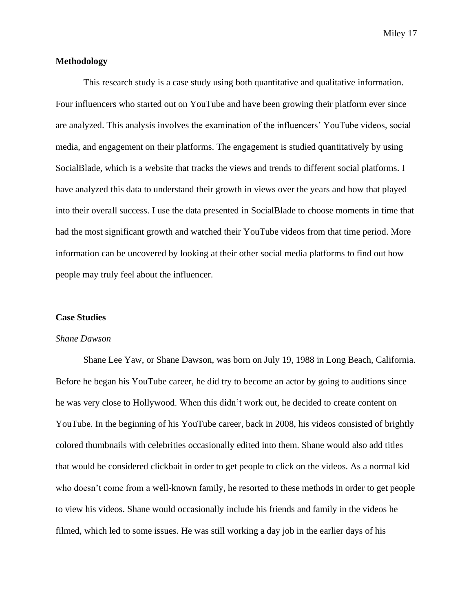#### **Methodology**

This research study is a case study using both quantitative and qualitative information. Four influencers who started out on YouTube and have been growing their platform ever since are analyzed. This analysis involves the examination of the influencers' YouTube videos, social media, and engagement on their platforms. The engagement is studied quantitatively by using SocialBlade, which is a website that tracks the views and trends to different social platforms. I have analyzed this data to understand their growth in views over the years and how that played into their overall success. I use the data presented in SocialBlade to choose moments in time that had the most significant growth and watched their YouTube videos from that time period. More information can be uncovered by looking at their other social media platforms to find out how people may truly feel about the influencer.

#### **Case Studies**

#### *Shane Dawson*

Shane Lee Yaw, or Shane Dawson, was born on July 19, 1988 in Long Beach, California. Before he began his YouTube career, he did try to become an actor by going to auditions since he was very close to Hollywood. When this didn't work out, he decided to create content on YouTube. In the beginning of his YouTube career, back in 2008, his videos consisted of brightly colored thumbnails with celebrities occasionally edited into them. Shane would also add titles that would be considered clickbait in order to get people to click on the videos. As a normal kid who doesn't come from a well-known family, he resorted to these methods in order to get people to view his videos. Shane would occasionally include his friends and family in the videos he filmed, which led to some issues. He was still working a day job in the earlier days of his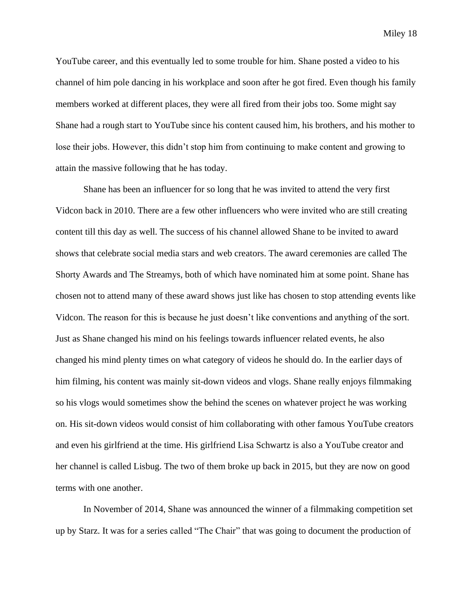YouTube career, and this eventually led to some trouble for him. Shane posted a video to his channel of him pole dancing in his workplace and soon after he got fired. Even though his family members worked at different places, they were all fired from their jobs too. Some might say Shane had a rough start to YouTube since his content caused him, his brothers, and his mother to lose their jobs. However, this didn't stop him from continuing to make content and growing to attain the massive following that he has today.

Shane has been an influencer for so long that he was invited to attend the very first Vidcon back in 2010. There are a few other influencers who were invited who are still creating content till this day as well. The success of his channel allowed Shane to be invited to award shows that celebrate social media stars and web creators. The award ceremonies are called The Shorty Awards and The Streamys, both of which have nominated him at some point. Shane has chosen not to attend many of these award shows just like has chosen to stop attending events like Vidcon. The reason for this is because he just doesn't like conventions and anything of the sort. Just as Shane changed his mind on his feelings towards influencer related events, he also changed his mind plenty times on what category of videos he should do. In the earlier days of him filming, his content was mainly sit-down videos and vlogs. Shane really enjoys filmmaking so his vlogs would sometimes show the behind the scenes on whatever project he was working on. His sit-down videos would consist of him collaborating with other famous YouTube creators and even his girlfriend at the time. His girlfriend Lisa Schwartz is also a YouTube creator and her channel is called Lisbug. The two of them broke up back in 2015, but they are now on good terms with one another.

In November of 2014, Shane was announced the winner of a filmmaking competition set up by Starz. It was for a series called "The Chair" that was going to document the production of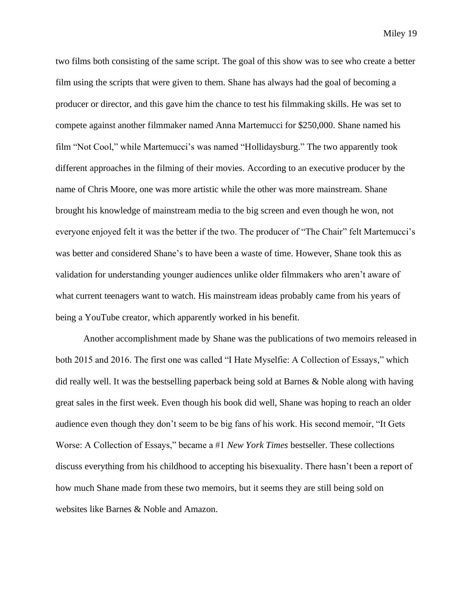two films both consisting of the same script. The goal of this show was to see who create a better film using the scripts that were given to them. Shane has always had the goal of becoming a producer or director, and this gave him the chance to test his filmmaking skills. He was set to compete against another filmmaker named Anna Martemucci for \$250,000. Shane named his film "Not Cool," while Martemucci's was named "Hollidaysburg." The two apparently took different approaches in the filming of their movies. According to an executive producer by the name of Chris Moore, one was more artistic while the other was more mainstream. Shane brought his knowledge of mainstream media to the big screen and even though he won, not everyone enjoyed felt it was the better if the two. The producer of "The Chair" felt Martemucci's was better and considered Shane's to have been a waste of time. However, Shane took this as validation for understanding younger audiences unlike older filmmakers who aren't aware of what current teenagers want to watch. His mainstream ideas probably came from his years of being a YouTube creator, which apparently worked in his benefit.

Another accomplishment made by Shane was the publications of two memoirs released in both 2015 and 2016. The first one was called "I Hate Myselfie: A Collection of Essays," which did really well. It was the bestselling paperback being sold at Barnes & Noble along with having great sales in the first week. Even though his book did well, Shane was hoping to reach an older audience even though they don't seem to be big fans of his work. His second memoir, "It Gets Worse: A Collection of Essays," became a #1 *New York Times* bestseller. These collections discuss everything from his childhood to accepting his bisexuality. There hasn't been a report of how much Shane made from these two memoirs, but it seems they are still being sold on websites like Barnes & Noble and Amazon.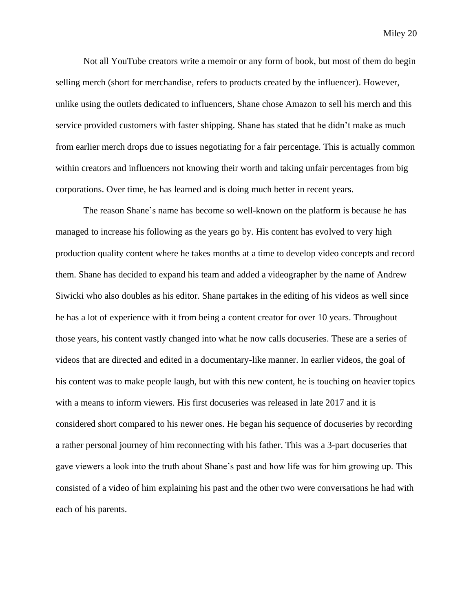Not all YouTube creators write a memoir or any form of book, but most of them do begin selling merch (short for merchandise, refers to products created by the influencer). However, unlike using the outlets dedicated to influencers, Shane chose Amazon to sell his merch and this service provided customers with faster shipping. Shane has stated that he didn't make as much from earlier merch drops due to issues negotiating for a fair percentage. This is actually common within creators and influencers not knowing their worth and taking unfair percentages from big corporations. Over time, he has learned and is doing much better in recent years.

The reason Shane's name has become so well-known on the platform is because he has managed to increase his following as the years go by. His content has evolved to very high production quality content where he takes months at a time to develop video concepts and record them. Shane has decided to expand his team and added a videographer by the name of Andrew Siwicki who also doubles as his editor. Shane partakes in the editing of his videos as well since he has a lot of experience with it from being a content creator for over 10 years. Throughout those years, his content vastly changed into what he now calls docuseries. These are a series of videos that are directed and edited in a documentary-like manner. In earlier videos, the goal of his content was to make people laugh, but with this new content, he is touching on heavier topics with a means to inform viewers. His first docuseries was released in late 2017 and it is considered short compared to his newer ones. He began his sequence of docuseries by recording a rather personal journey of him reconnecting with his father. This was a 3-part docuseries that gave viewers a look into the truth about Shane's past and how life was for him growing up. This consisted of a video of him explaining his past and the other two were conversations he had with each of his parents.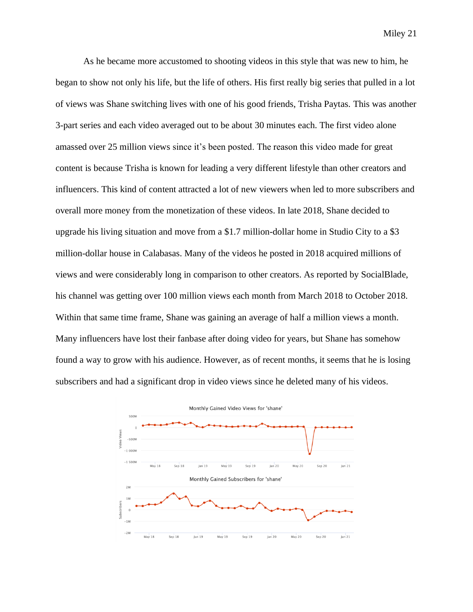As he became more accustomed to shooting videos in this style that was new to him, he began to show not only his life, but the life of others. His first really big series that pulled in a lot of views was Shane switching lives with one of his good friends, Trisha Paytas. This was another 3-part series and each video averaged out to be about 30 minutes each. The first video alone amassed over 25 million views since it's been posted. The reason this video made for great content is because Trisha is known for leading a very different lifestyle than other creators and influencers. This kind of content attracted a lot of new viewers when led to more subscribers and overall more money from the monetization of these videos. In late 2018, Shane decided to upgrade his living situation and move from a \$1.7 million-dollar home in Studio City to a \$3 million-dollar house in Calabasas. Many of the videos he posted in 2018 acquired millions of views and were considerably long in comparison to other creators. As reported by SocialBlade, his channel was getting over 100 million views each month from March 2018 to October 2018. Within that same time frame, Shane was gaining an average of half a million views a month. Many influencers have lost their fanbase after doing video for years, but Shane has somehow found a way to grow with his audience. However, as of recent months, it seems that he is losing subscribers and had a significant drop in video views since he deleted many of his videos.

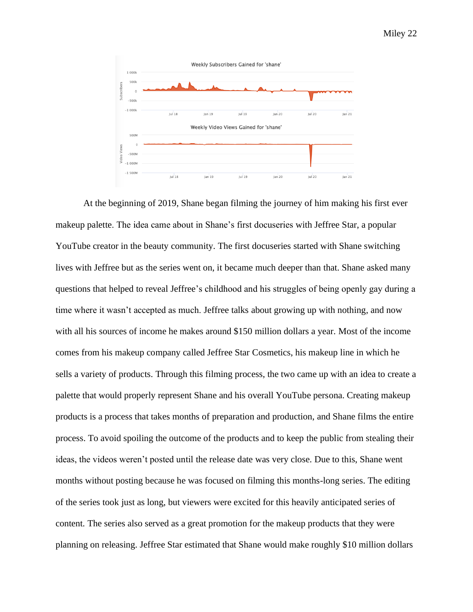

At the beginning of 2019, Shane began filming the journey of him making his first ever makeup palette. The idea came about in Shane's first docuseries with Jeffree Star, a popular YouTube creator in the beauty community. The first docuseries started with Shane switching lives with Jeffree but as the series went on, it became much deeper than that. Shane asked many questions that helped to reveal Jeffree's childhood and his struggles of being openly gay during a time where it wasn't accepted as much. Jeffree talks about growing up with nothing, and now with all his sources of income he makes around \$150 million dollars a year. Most of the income comes from his makeup company called Jeffree Star Cosmetics, his makeup line in which he sells a variety of products. Through this filming process, the two came up with an idea to create a palette that would properly represent Shane and his overall YouTube persona. Creating makeup products is a process that takes months of preparation and production, and Shane films the entire process. To avoid spoiling the outcome of the products and to keep the public from stealing their ideas, the videos weren't posted until the release date was very close. Due to this, Shane went months without posting because he was focused on filming this months-long series. The editing of the series took just as long, but viewers were excited for this heavily anticipated series of content. The series also served as a great promotion for the makeup products that they were planning on releasing. Jeffree Star estimated that Shane would make roughly \$10 million dollars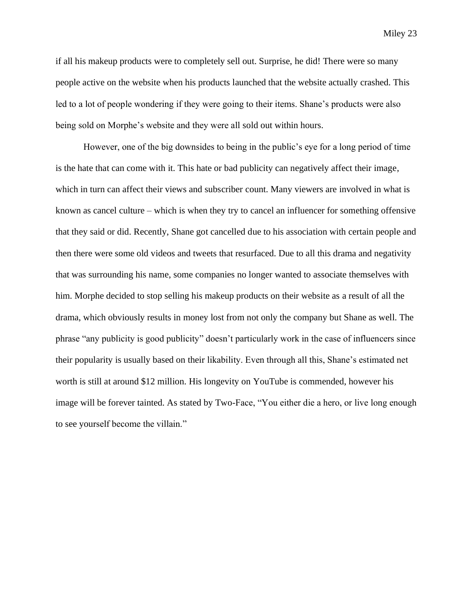if all his makeup products were to completely sell out. Surprise, he did! There were so many people active on the website when his products launched that the website actually crashed. This led to a lot of people wondering if they were going to their items. Shane's products were also being sold on Morphe's website and they were all sold out within hours.

However, one of the big downsides to being in the public's eye for a long period of time is the hate that can come with it. This hate or bad publicity can negatively affect their image, which in turn can affect their views and subscriber count. Many viewers are involved in what is known as cancel culture – which is when they try to cancel an influencer for something offensive that they said or did. Recently, Shane got cancelled due to his association with certain people and then there were some old videos and tweets that resurfaced. Due to all this drama and negativity that was surrounding his name, some companies no longer wanted to associate themselves with him. Morphe decided to stop selling his makeup products on their website as a result of all the drama, which obviously results in money lost from not only the company but Shane as well. The phrase "any publicity is good publicity" doesn't particularly work in the case of influencers since their popularity is usually based on their likability. Even through all this, Shane's estimated net worth is still at around \$12 million. His longevity on YouTube is commended, however his image will be forever tainted. As stated by Two-Face, "You either die a hero, or live long enough to see yourself become the villain."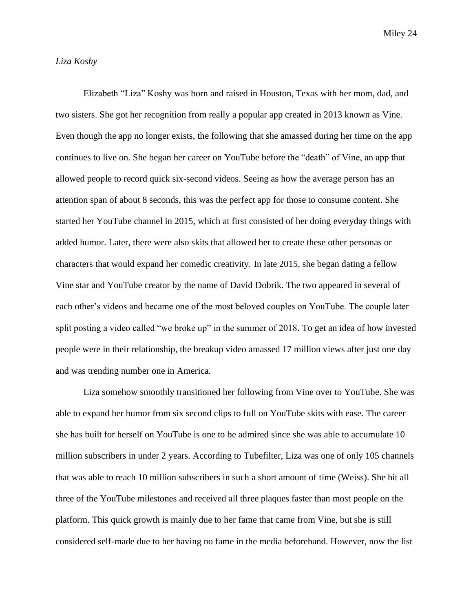#### *Liza Koshy*

Elizabeth "Liza" Koshy was born and raised in Houston, Texas with her mom, dad, and two sisters. She got her recognition from really a popular app created in 2013 known as Vine. Even though the app no longer exists, the following that she amassed during her time on the app continues to live on. She began her career on YouTube before the "death" of Vine, an app that allowed people to record quick six-second videos. Seeing as how the average person has an attention span of about 8 seconds, this was the perfect app for those to consume content. She started her YouTube channel in 2015, which at first consisted of her doing everyday things with added humor. Later, there were also skits that allowed her to create these other personas or characters that would expand her comedic creativity. In late 2015, she began dating a fellow Vine star and YouTube creator by the name of David Dobrik. The two appeared in several of each other's videos and became one of the most beloved couples on YouTube. The couple later split posting a video called "we broke up" in the summer of 2018. To get an idea of how invested people were in their relationship, the breakup video amassed 17 million views after just one day and was trending number one in America.

Liza somehow smoothly transitioned her following from Vine over to YouTube. She was able to expand her humor from six second clips to full on YouTube skits with ease. The career she has built for herself on YouTube is one to be admired since she was able to accumulate 10 million subscribers in under 2 years. According to Tubefilter, Liza was one of only 105 channels that was able to reach 10 million subscribers in such a short amount of time (Weiss). She hit all three of the YouTube milestones and received all three plaques faster than most people on the platform. This quick growth is mainly due to her fame that came from Vine, but she is still considered self-made due to her having no fame in the media beforehand. However, now the list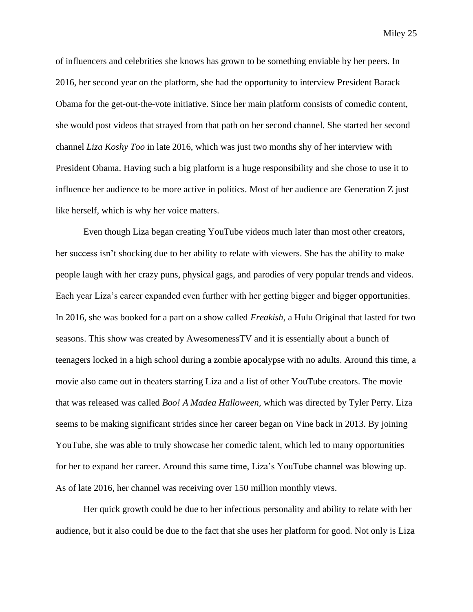of influencers and celebrities she knows has grown to be something enviable by her peers. In 2016, her second year on the platform, she had the opportunity to interview President Barack Obama for the get-out-the-vote initiative. Since her main platform consists of comedic content, she would post videos that strayed from that path on her second channel. She started her second channel *Liza Koshy Too* in late 2016, which was just two months shy of her interview with President Obama. Having such a big platform is a huge responsibility and she chose to use it to influence her audience to be more active in politics. Most of her audience are Generation Z just like herself, which is why her voice matters.

Even though Liza began creating YouTube videos much later than most other creators, her success isn't shocking due to her ability to relate with viewers. She has the ability to make people laugh with her crazy puns, physical gags, and parodies of very popular trends and videos. Each year Liza's career expanded even further with her getting bigger and bigger opportunities. In 2016, she was booked for a part on a show called *Freakish*, a Hulu Original that lasted for two seasons. This show was created by AwesomenessTV and it is essentially about a bunch of teenagers locked in a high school during a zombie apocalypse with no adults. Around this time, a movie also came out in theaters starring Liza and a list of other YouTube creators. The movie that was released was called *Boo! A Madea Halloween,* which was directed by Tyler Perry. Liza seems to be making significant strides since her career began on Vine back in 2013. By joining YouTube, she was able to truly showcase her comedic talent, which led to many opportunities for her to expand her career. Around this same time, Liza's YouTube channel was blowing up. As of late 2016, her channel was receiving over 150 million monthly views.

Her quick growth could be due to her infectious personality and ability to relate with her audience, but it also could be due to the fact that she uses her platform for good. Not only is Liza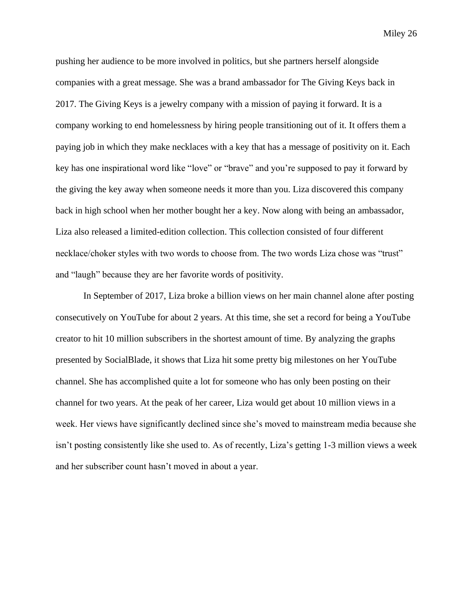pushing her audience to be more involved in politics, but she partners herself alongside companies with a great message. She was a brand ambassador for The Giving Keys back in 2017. The Giving Keys is a jewelry company with a mission of paying it forward. It is a company working to end homelessness by hiring people transitioning out of it. It offers them a paying job in which they make necklaces with a key that has a message of positivity on it. Each key has one inspirational word like "love" or "brave" and you're supposed to pay it forward by the giving the key away when someone needs it more than you. Liza discovered this company back in high school when her mother bought her a key. Now along with being an ambassador, Liza also released a limited-edition collection. This collection consisted of four different necklace/choker styles with two words to choose from. The two words Liza chose was "trust" and "laugh" because they are her favorite words of positivity.

In September of 2017, Liza broke a billion views on her main channel alone after posting consecutively on YouTube for about 2 years. At this time, she set a record for being a YouTube creator to hit 10 million subscribers in the shortest amount of time. By analyzing the graphs presented by SocialBlade, it shows that Liza hit some pretty big milestones on her YouTube channel. She has accomplished quite a lot for someone who has only been posting on their channel for two years. At the peak of her career, Liza would get about 10 million views in a week. Her views have significantly declined since she's moved to mainstream media because she isn't posting consistently like she used to. As of recently, Liza's getting 1-3 million views a week and her subscriber count hasn't moved in about a year.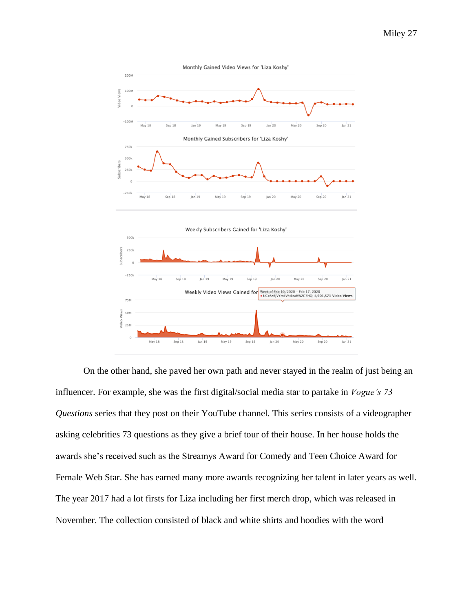

On the other hand, she paved her own path and never stayed in the realm of just being an influencer. For example, she was the first digital/social media star to partake in *Vogue's 73 Questions* series that they post on their YouTube channel. This series consists of a videographer asking celebrities 73 questions as they give a brief tour of their house. In her house holds the awards she's received such as the Streamys Award for Comedy and Teen Choice Award for Female Web Star. She has earned many more awards recognizing her talent in later years as well. The year 2017 had a lot firsts for Liza including her first merch drop, which was released in November. The collection consisted of black and white shirts and hoodies with the word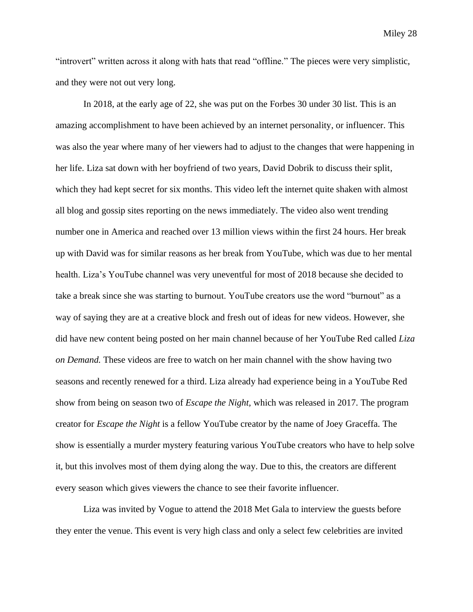"introvert" written across it along with hats that read "offline." The pieces were very simplistic, and they were not out very long.

In 2018, at the early age of 22, she was put on the Forbes 30 under 30 list. This is an amazing accomplishment to have been achieved by an internet personality, or influencer. This was also the year where many of her viewers had to adjust to the changes that were happening in her life. Liza sat down with her boyfriend of two years, David Dobrik to discuss their split, which they had kept secret for six months. This video left the internet quite shaken with almost all blog and gossip sites reporting on the news immediately. The video also went trending number one in America and reached over 13 million views within the first 24 hours. Her break up with David was for similar reasons as her break from YouTube, which was due to her mental health. Liza's YouTube channel was very uneventful for most of 2018 because she decided to take a break since she was starting to burnout. YouTube creators use the word "burnout" as a way of saying they are at a creative block and fresh out of ideas for new videos. However, she did have new content being posted on her main channel because of her YouTube Red called *Liza on Demand.* These videos are free to watch on her main channel with the show having two seasons and recently renewed for a third. Liza already had experience being in a YouTube Red show from being on season two of *Escape the Night,* which was released in 2017. The program creator for *Escape the Night* is a fellow YouTube creator by the name of Joey Graceffa. The show is essentially a murder mystery featuring various YouTube creators who have to help solve it, but this involves most of them dying along the way. Due to this, the creators are different every season which gives viewers the chance to see their favorite influencer.

Liza was invited by Vogue to attend the 2018 Met Gala to interview the guests before they enter the venue. This event is very high class and only a select few celebrities are invited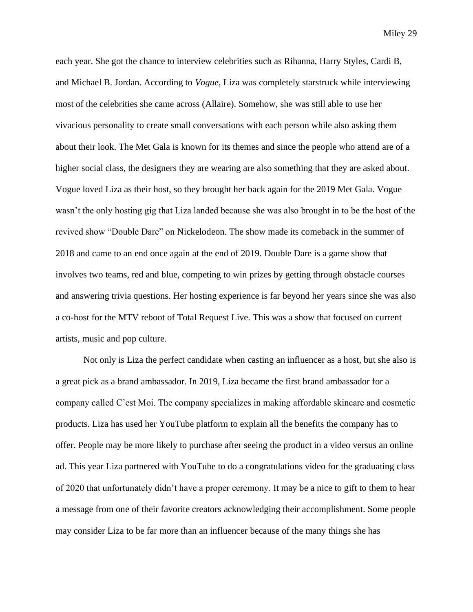each year. She got the chance to interview celebrities such as Rihanna, Harry Styles, Cardi B, and Michael B. Jordan. According to *Vogue*, Liza was completely starstruck while interviewing most of the celebrities she came across (Allaire). Somehow, she was still able to use her vivacious personality to create small conversations with each person while also asking them about their look. The Met Gala is known for its themes and since the people who attend are of a higher social class, the designers they are wearing are also something that they are asked about. Vogue loved Liza as their host, so they brought her back again for the 2019 Met Gala. Vogue wasn't the only hosting gig that Liza landed because she was also brought in to be the host of the revived show "Double Dare" on Nickelodeon. The show made its comeback in the summer of 2018 and came to an end once again at the end of 2019. Double Dare is a game show that involves two teams, red and blue, competing to win prizes by getting through obstacle courses and answering trivia questions. Her hosting experience is far beyond her years since she was also a co-host for the MTV reboot of Total Request Live. This was a show that focused on current artists, music and pop culture.

Not only is Liza the perfect candidate when casting an influencer as a host, but she also is a great pick as a brand ambassador. In 2019, Liza became the first brand ambassador for a company called C'est Moi. The company specializes in making affordable skincare and cosmetic products. Liza has used her YouTube platform to explain all the benefits the company has to offer. People may be more likely to purchase after seeing the product in a video versus an online ad. This year Liza partnered with YouTube to do a congratulations video for the graduating class of 2020 that unfortunately didn't have a proper ceremony. It may be a nice to gift to them to hear a message from one of their favorite creators acknowledging their accomplishment. Some people may consider Liza to be far more than an influencer because of the many things she has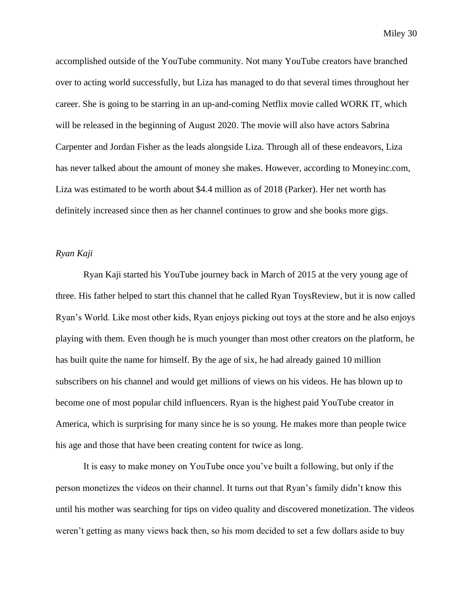accomplished outside of the YouTube community. Not many YouTube creators have branched over to acting world successfully, but Liza has managed to do that several times throughout her career. She is going to be starring in an up-and-coming Netflix movie called WORK IT, which will be released in the beginning of August 2020. The movie will also have actors Sabrina Carpenter and Jordan Fisher as the leads alongside Liza. Through all of these endeavors, Liza has never talked about the amount of money she makes. However, according to Moneyinc.com, Liza was estimated to be worth about \$4.4 million as of 2018 (Parker). Her net worth has definitely increased since then as her channel continues to grow and she books more gigs.

#### *Ryan Kaji*

Ryan Kaji started his YouTube journey back in March of 2015 at the very young age of three. His father helped to start this channel that he called Ryan ToysReview, but it is now called Ryan's World. Like most other kids, Ryan enjoys picking out toys at the store and he also enjoys playing with them. Even though he is much younger than most other creators on the platform, he has built quite the name for himself. By the age of six, he had already gained 10 million subscribers on his channel and would get millions of views on his videos. He has blown up to become one of most popular child influencers. Ryan is the highest paid YouTube creator in America, which is surprising for many since he is so young. He makes more than people twice his age and those that have been creating content for twice as long.

It is easy to make money on YouTube once you've built a following, but only if the person monetizes the videos on their channel. It turns out that Ryan's family didn't know this until his mother was searching for tips on video quality and discovered monetization. The videos weren't getting as many views back then, so his mom decided to set a few dollars aside to buy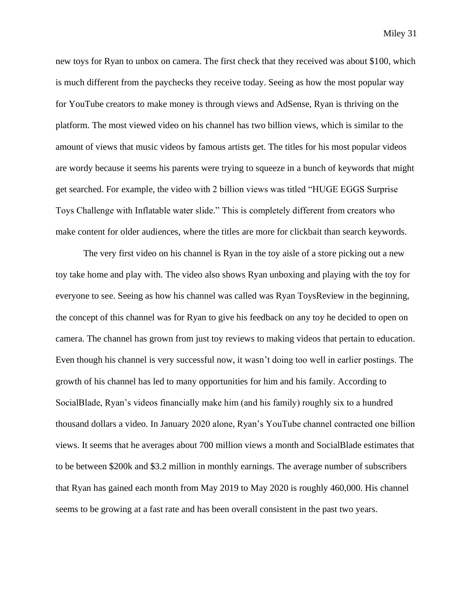new toys for Ryan to unbox on camera. The first check that they received was about \$100, which is much different from the paychecks they receive today. Seeing as how the most popular way for YouTube creators to make money is through views and AdSense, Ryan is thriving on the platform. The most viewed video on his channel has two billion views, which is similar to the amount of views that music videos by famous artists get. The titles for his most popular videos are wordy because it seems his parents were trying to squeeze in a bunch of keywords that might get searched. For example, the video with 2 billion views was titled "HUGE EGGS Surprise Toys Challenge with Inflatable water slide." This is completely different from creators who make content for older audiences, where the titles are more for clickbait than search keywords.

The very first video on his channel is Ryan in the toy aisle of a store picking out a new toy take home and play with. The video also shows Ryan unboxing and playing with the toy for everyone to see. Seeing as how his channel was called was Ryan ToysReview in the beginning, the concept of this channel was for Ryan to give his feedback on any toy he decided to open on camera. The channel has grown from just toy reviews to making videos that pertain to education. Even though his channel is very successful now, it wasn't doing too well in earlier postings. The growth of his channel has led to many opportunities for him and his family. According to SocialBlade, Ryan's videos financially make him (and his family) roughly six to a hundred thousand dollars a video. In January 2020 alone, Ryan's YouTube channel contracted one billion views. It seems that he averages about 700 million views a month and SocialBlade estimates that to be between \$200k and \$3.2 million in monthly earnings. The average number of subscribers that Ryan has gained each month from May 2019 to May 2020 is roughly 460,000. His channel seems to be growing at a fast rate and has been overall consistent in the past two years.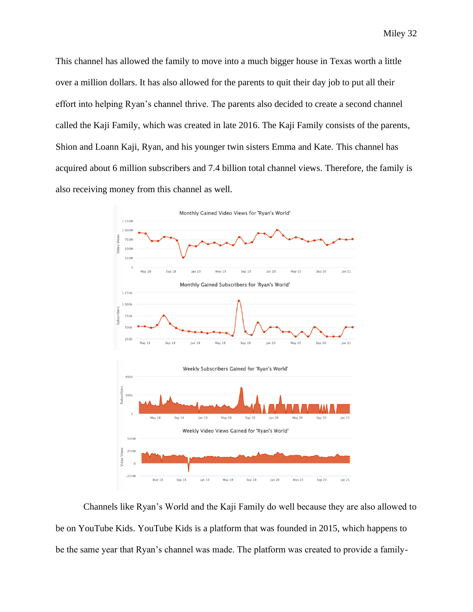This channel has allowed the family to move into a much bigger house in Texas worth a little over a million dollars. It has also allowed for the parents to quit their day job to put all their effort into helping Ryan's channel thrive. The parents also decided to create a second channel called the Kaji Family, which was created in late 2016. The Kaji Family consists of the parents, Shion and Loann Kaji, Ryan, and his younger twin sisters Emma and Kate. This channel has acquired about 6 million subscribers and 7.4 billion total channel views. Therefore, the family is also receiving money from this channel as well.



Channels like Ryan's World and the Kaji Family do well because they are also allowed to be on YouTube Kids. YouTube Kids is a platform that was founded in 2015, which happens to be the same year that Ryan's channel was made. The platform was created to provide a family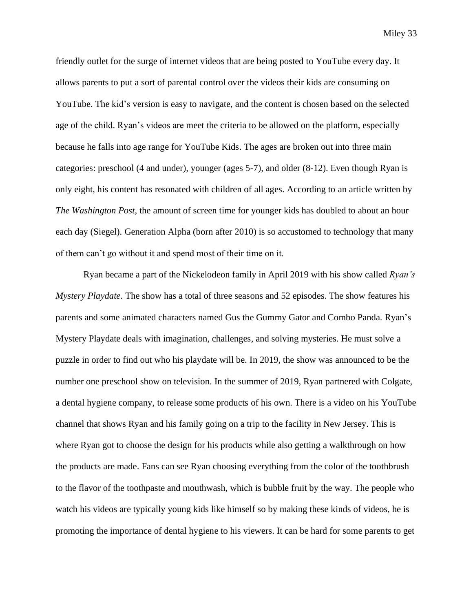friendly outlet for the surge of internet videos that are being posted to YouTube every day. It allows parents to put a sort of parental control over the videos their kids are consuming on YouTube. The kid's version is easy to navigate, and the content is chosen based on the selected age of the child. Ryan's videos are meet the criteria to be allowed on the platform, especially because he falls into age range for YouTube Kids. The ages are broken out into three main categories: preschool (4 and under), younger (ages 5-7), and older (8-12). Even though Ryan is only eight, his content has resonated with children of all ages. According to an article written by *The Washington Post*, the amount of screen time for younger kids has doubled to about an hour each day (Siegel). Generation Alpha (born after 2010) is so accustomed to technology that many of them can't go without it and spend most of their time on it.

Ryan became a part of the Nickelodeon family in April 2019 with his show called *Ryan's Mystery Playdate*. The show has a total of three seasons and 52 episodes. The show features his parents and some animated characters named Gus the Gummy Gator and Combo Panda. Ryan's Mystery Playdate deals with imagination, challenges, and solving mysteries. He must solve a puzzle in order to find out who his playdate will be. In 2019, the show was announced to be the number one preschool show on television. In the summer of 2019, Ryan partnered with Colgate, a dental hygiene company, to release some products of his own. There is a video on his YouTube channel that shows Ryan and his family going on a trip to the facility in New Jersey. This is where Ryan got to choose the design for his products while also getting a walkthrough on how the products are made. Fans can see Ryan choosing everything from the color of the toothbrush to the flavor of the toothpaste and mouthwash, which is bubble fruit by the way. The people who watch his videos are typically young kids like himself so by making these kinds of videos, he is promoting the importance of dental hygiene to his viewers. It can be hard for some parents to get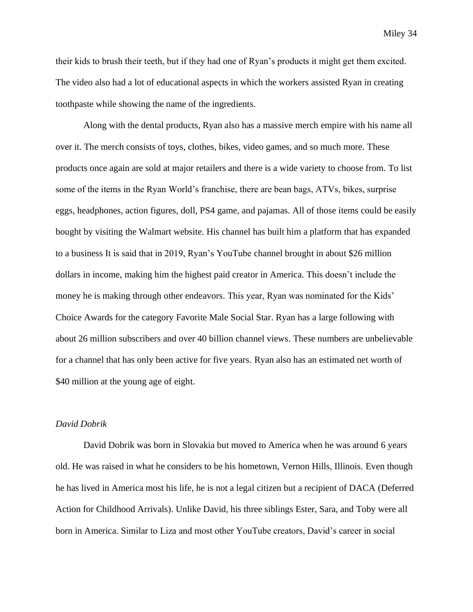their kids to brush their teeth, but if they had one of Ryan's products it might get them excited. The video also had a lot of educational aspects in which the workers assisted Ryan in creating toothpaste while showing the name of the ingredients.

Along with the dental products, Ryan also has a massive merch empire with his name all over it. The merch consists of toys, clothes, bikes, video games, and so much more. These products once again are sold at major retailers and there is a wide variety to choose from. To list some of the items in the Ryan World's franchise, there are bean bags, ATVs, bikes, surprise eggs, headphones, action figures, doll, PS4 game, and pajamas. All of those items could be easily bought by visiting the Walmart website. His channel has built him a platform that has expanded to a business It is said that in 2019, Ryan's YouTube channel brought in about \$26 million dollars in income, making him the highest paid creator in America. This doesn't include the money he is making through other endeavors. This year, Ryan was nominated for the Kids' Choice Awards for the category Favorite Male Social Star. Ryan has a large following with about 26 million subscribers and over 40 billion channel views. These numbers are unbelievable for a channel that has only been active for five years. Ryan also has an estimated net worth of \$40 million at the young age of eight.

#### *David Dobrik*

David Dobrik was born in Slovakia but moved to America when he was around 6 years old. He was raised in what he considers to be his hometown, Vernon Hills, Illinois. Even though he has lived in America most his life, he is not a legal citizen but a recipient of DACA (Deferred Action for Childhood Arrivals). Unlike David, his three siblings Ester, Sara, and Toby were all born in America. Similar to Liza and most other YouTube creators, David's career in social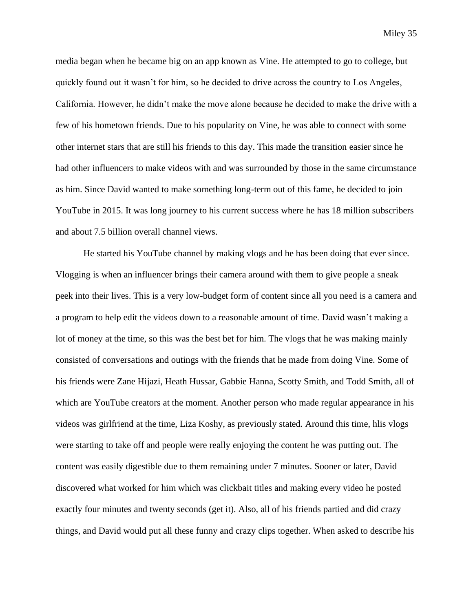media began when he became big on an app known as Vine. He attempted to go to college, but quickly found out it wasn't for him, so he decided to drive across the country to Los Angeles, California. However, he didn't make the move alone because he decided to make the drive with a few of his hometown friends. Due to his popularity on Vine, he was able to connect with some other internet stars that are still his friends to this day. This made the transition easier since he had other influencers to make videos with and was surrounded by those in the same circumstance as him. Since David wanted to make something long-term out of this fame, he decided to join YouTube in 2015. It was long journey to his current success where he has 18 million subscribers and about 7.5 billion overall channel views.

He started his YouTube channel by making vlogs and he has been doing that ever since. Vlogging is when an influencer brings their camera around with them to give people a sneak peek into their lives. This is a very low-budget form of content since all you need is a camera and a program to help edit the videos down to a reasonable amount of time. David wasn't making a lot of money at the time, so this was the best bet for him. The vlogs that he was making mainly consisted of conversations and outings with the friends that he made from doing Vine. Some of his friends were Zane Hijazi, Heath Hussar, Gabbie Hanna, Scotty Smith, and Todd Smith, all of which are YouTube creators at the moment. Another person who made regular appearance in his videos was girlfriend at the time, Liza Koshy, as previously stated. Around this time, hlis vlogs were starting to take off and people were really enjoying the content he was putting out. The content was easily digestible due to them remaining under 7 minutes. Sooner or later, David discovered what worked for him which was clickbait titles and making every video he posted exactly four minutes and twenty seconds (get it). Also, all of his friends partied and did crazy things, and David would put all these funny and crazy clips together. When asked to describe his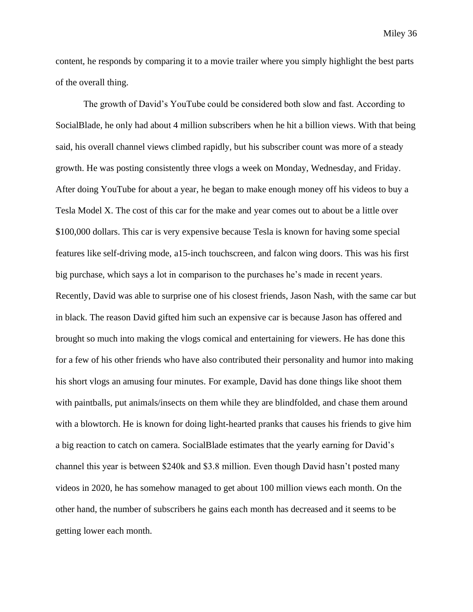content, he responds by comparing it to a movie trailer where you simply highlight the best parts of the overall thing.

The growth of David's YouTube could be considered both slow and fast. According to SocialBlade, he only had about 4 million subscribers when he hit a billion views. With that being said, his overall channel views climbed rapidly, but his subscriber count was more of a steady growth. He was posting consistently three vlogs a week on Monday, Wednesday, and Friday. After doing YouTube for about a year, he began to make enough money off his videos to buy a Tesla Model X. The cost of this car for the make and year comes out to about be a little over \$100,000 dollars. This car is very expensive because Tesla is known for having some special features like self-driving mode, a15-inch touchscreen, and falcon wing doors. This was his first big purchase, which says a lot in comparison to the purchases he's made in recent years. Recently, David was able to surprise one of his closest friends, Jason Nash, with the same car but in black. The reason David gifted him such an expensive car is because Jason has offered and brought so much into making the vlogs comical and entertaining for viewers. He has done this for a few of his other friends who have also contributed their personality and humor into making his short vlogs an amusing four minutes. For example, David has done things like shoot them with paintballs, put animals/insects on them while they are blindfolded, and chase them around with a blowtorch. He is known for doing light-hearted pranks that causes his friends to give him a big reaction to catch on camera. SocialBlade estimates that the yearly earning for David's channel this year is between \$240k and \$3.8 million. Even though David hasn't posted many videos in 2020, he has somehow managed to get about 100 million views each month. On the other hand, the number of subscribers he gains each month has decreased and it seems to be getting lower each month.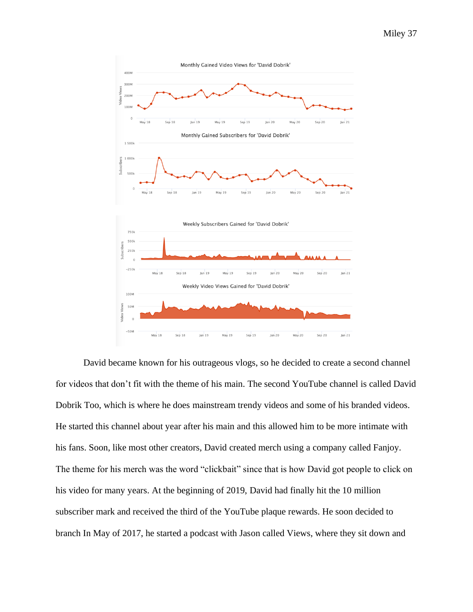

David became known for his outrageous vlogs, so he decided to create a second channel for videos that don't fit with the theme of his main. The second YouTube channel is called David Dobrik Too, which is where he does mainstream trendy videos and some of his branded videos. He started this channel about year after his main and this allowed him to be more intimate with his fans. Soon, like most other creators, David created merch using a company called Fanjoy. The theme for his merch was the word "clickbait" since that is how David got people to click on his video for many years. At the beginning of 2019, David had finally hit the 10 million subscriber mark and received the third of the YouTube plaque rewards. He soon decided to branch In May of 2017, he started a podcast with Jason called Views, where they sit down and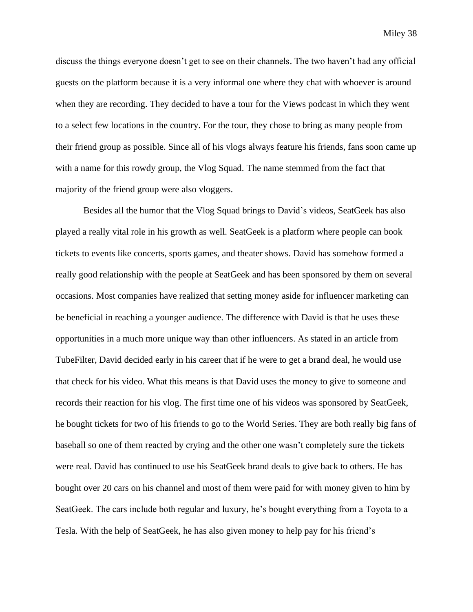discuss the things everyone doesn't get to see on their channels. The two haven't had any official guests on the platform because it is a very informal one where they chat with whoever is around when they are recording. They decided to have a tour for the Views podcast in which they went to a select few locations in the country. For the tour, they chose to bring as many people from their friend group as possible. Since all of his vlogs always feature his friends, fans soon came up with a name for this rowdy group, the Vlog Squad. The name stemmed from the fact that majority of the friend group were also vloggers.

Besides all the humor that the Vlog Squad brings to David's videos, SeatGeek has also played a really vital role in his growth as well. SeatGeek is a platform where people can book tickets to events like concerts, sports games, and theater shows. David has somehow formed a really good relationship with the people at SeatGeek and has been sponsored by them on several occasions. Most companies have realized that setting money aside for influencer marketing can be beneficial in reaching a younger audience. The difference with David is that he uses these opportunities in a much more unique way than other influencers. As stated in an article from TubeFilter, David decided early in his career that if he were to get a brand deal, he would use that check for his video. What this means is that David uses the money to give to someone and records their reaction for his vlog. The first time one of his videos was sponsored by SeatGeek, he bought tickets for two of his friends to go to the World Series. They are both really big fans of baseball so one of them reacted by crying and the other one wasn't completely sure the tickets were real. David has continued to use his SeatGeek brand deals to give back to others. He has bought over 20 cars on his channel and most of them were paid for with money given to him by SeatGeek. The cars include both regular and luxury, he's bought everything from a Toyota to a Tesla. With the help of SeatGeek, he has also given money to help pay for his friend's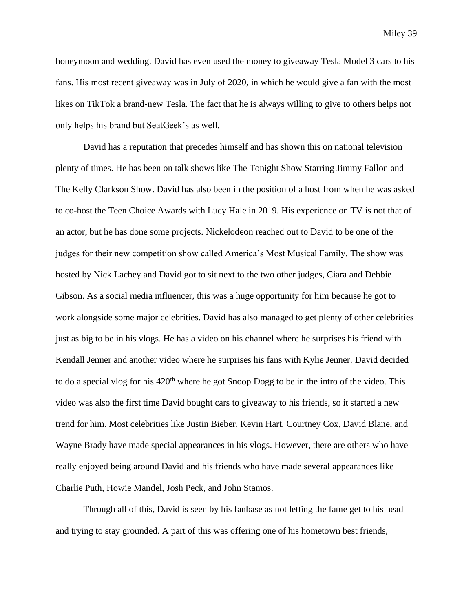honeymoon and wedding. David has even used the money to giveaway Tesla Model 3 cars to his fans. His most recent giveaway was in July of 2020, in which he would give a fan with the most likes on TikTok a brand-new Tesla. The fact that he is always willing to give to others helps not only helps his brand but SeatGeek's as well.

David has a reputation that precedes himself and has shown this on national television plenty of times. He has been on talk shows like The Tonight Show Starring Jimmy Fallon and The Kelly Clarkson Show. David has also been in the position of a host from when he was asked to co-host the Teen Choice Awards with Lucy Hale in 2019. His experience on TV is not that of an actor, but he has done some projects. Nickelodeon reached out to David to be one of the judges for their new competition show called America's Most Musical Family. The show was hosted by Nick Lachey and David got to sit next to the two other judges, Ciara and Debbie Gibson. As a social media influencer, this was a huge opportunity for him because he got to work alongside some major celebrities. David has also managed to get plenty of other celebrities just as big to be in his vlogs. He has a video on his channel where he surprises his friend with Kendall Jenner and another video where he surprises his fans with Kylie Jenner. David decided to do a special vlog for his 420<sup>th</sup> where he got Snoop Dogg to be in the intro of the video. This video was also the first time David bought cars to giveaway to his friends, so it started a new trend for him. Most celebrities like Justin Bieber, Kevin Hart, Courtney Cox, David Blane, and Wayne Brady have made special appearances in his vlogs. However, there are others who have really enjoyed being around David and his friends who have made several appearances like Charlie Puth, Howie Mandel, Josh Peck, and John Stamos.

Through all of this, David is seen by his fanbase as not letting the fame get to his head and trying to stay grounded. A part of this was offering one of his hometown best friends,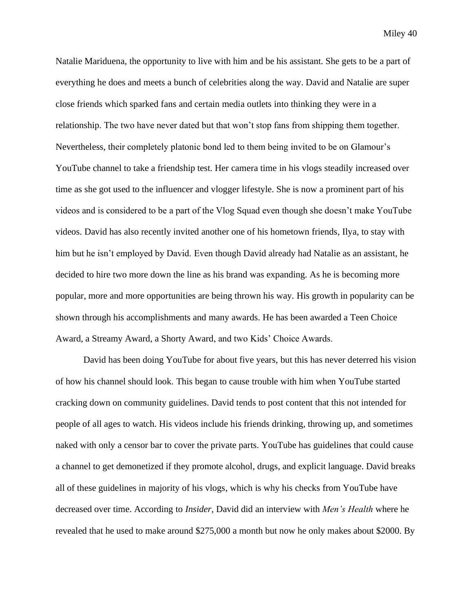Natalie Mariduena, the opportunity to live with him and be his assistant. She gets to be a part of everything he does and meets a bunch of celebrities along the way. David and Natalie are super close friends which sparked fans and certain media outlets into thinking they were in a relationship. The two have never dated but that won't stop fans from shipping them together. Nevertheless, their completely platonic bond led to them being invited to be on Glamour's YouTube channel to take a friendship test. Her camera time in his vlogs steadily increased over time as she got used to the influencer and vlogger lifestyle. She is now a prominent part of his videos and is considered to be a part of the Vlog Squad even though she doesn't make YouTube videos. David has also recently invited another one of his hometown friends, Ilya, to stay with him but he isn't employed by David. Even though David already had Natalie as an assistant, he decided to hire two more down the line as his brand was expanding. As he is becoming more popular, more and more opportunities are being thrown his way. His growth in popularity can be shown through his accomplishments and many awards. He has been awarded a Teen Choice Award, a Streamy Award, a Shorty Award, and two Kids' Choice Awards.

David has been doing YouTube for about five years, but this has never deterred his vision of how his channel should look. This began to cause trouble with him when YouTube started cracking down on community guidelines. David tends to post content that this not intended for people of all ages to watch. His videos include his friends drinking, throwing up, and sometimes naked with only a censor bar to cover the private parts. YouTube has guidelines that could cause a channel to get demonetized if they promote alcohol, drugs, and explicit language. David breaks all of these guidelines in majority of his vlogs, which is why his checks from YouTube have decreased over time. According to *Insider*, David did an interview with *Men's Health* where he revealed that he used to make around \$275,000 a month but now he only makes about \$2000. By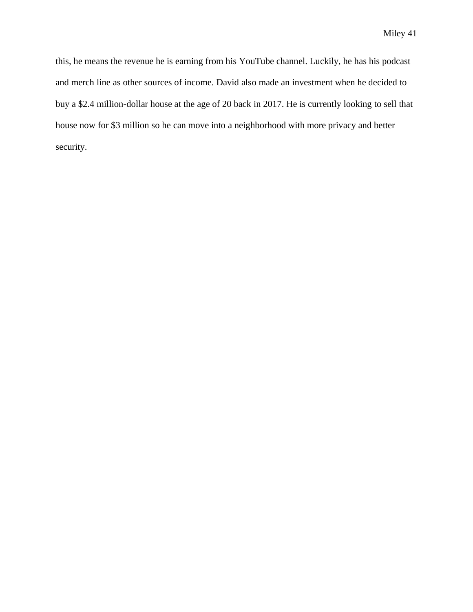this, he means the revenue he is earning from his YouTube channel. Luckily, he has his podcast and merch line as other sources of income. David also made an investment when he decided to buy a \$2.4 million-dollar house at the age of 20 back in 2017. He is currently looking to sell that house now for \$3 million so he can move into a neighborhood with more privacy and better security.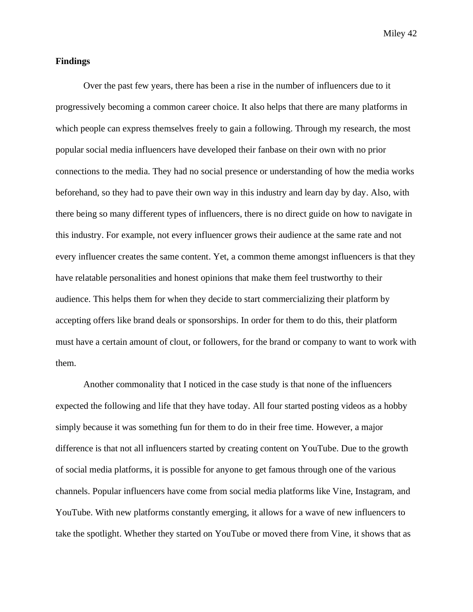#### **Findings**

Over the past few years, there has been a rise in the number of influencers due to it progressively becoming a common career choice. It also helps that there are many platforms in which people can express themselves freely to gain a following. Through my research, the most popular social media influencers have developed their fanbase on their own with no prior connections to the media. They had no social presence or understanding of how the media works beforehand, so they had to pave their own way in this industry and learn day by day. Also, with there being so many different types of influencers, there is no direct guide on how to navigate in this industry. For example, not every influencer grows their audience at the same rate and not every influencer creates the same content. Yet, a common theme amongst influencers is that they have relatable personalities and honest opinions that make them feel trustworthy to their audience. This helps them for when they decide to start commercializing their platform by accepting offers like brand deals or sponsorships. In order for them to do this, their platform must have a certain amount of clout, or followers, for the brand or company to want to work with them.

Another commonality that I noticed in the case study is that none of the influencers expected the following and life that they have today. All four started posting videos as a hobby simply because it was something fun for them to do in their free time. However, a major difference is that not all influencers started by creating content on YouTube. Due to the growth of social media platforms, it is possible for anyone to get famous through one of the various channels. Popular influencers have come from social media platforms like Vine, Instagram, and YouTube. With new platforms constantly emerging, it allows for a wave of new influencers to take the spotlight. Whether they started on YouTube or moved there from Vine, it shows that as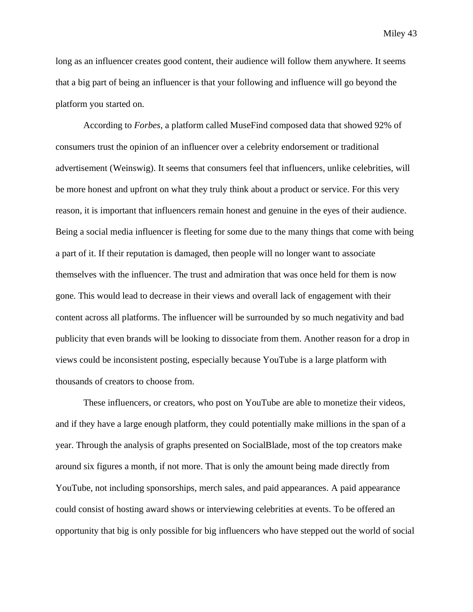long as an influencer creates good content, their audience will follow them anywhere. It seems that a big part of being an influencer is that your following and influence will go beyond the platform you started on.

According to *Forbes*, a platform called MuseFind composed data that showed 92% of consumers trust the opinion of an influencer over a celebrity endorsement or traditional advertisement (Weinswig). It seems that consumers feel that influencers, unlike celebrities, will be more honest and upfront on what they truly think about a product or service. For this very reason, it is important that influencers remain honest and genuine in the eyes of their audience. Being a social media influencer is fleeting for some due to the many things that come with being a part of it. If their reputation is damaged, then people will no longer want to associate themselves with the influencer. The trust and admiration that was once held for them is now gone. This would lead to decrease in their views and overall lack of engagement with their content across all platforms. The influencer will be surrounded by so much negativity and bad publicity that even brands will be looking to dissociate from them. Another reason for a drop in views could be inconsistent posting, especially because YouTube is a large platform with thousands of creators to choose from.

These influencers, or creators, who post on YouTube are able to monetize their videos, and if they have a large enough platform, they could potentially make millions in the span of a year. Through the analysis of graphs presented on SocialBlade, most of the top creators make around six figures a month, if not more. That is only the amount being made directly from YouTube, not including sponsorships, merch sales, and paid appearances. A paid appearance could consist of hosting award shows or interviewing celebrities at events. To be offered an opportunity that big is only possible for big influencers who have stepped out the world of social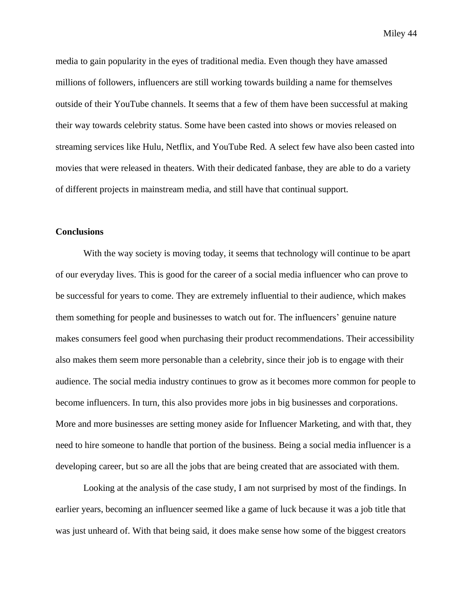media to gain popularity in the eyes of traditional media. Even though they have amassed millions of followers, influencers are still working towards building a name for themselves outside of their YouTube channels. It seems that a few of them have been successful at making their way towards celebrity status. Some have been casted into shows or movies released on streaming services like Hulu, Netflix, and YouTube Red. A select few have also been casted into movies that were released in theaters. With their dedicated fanbase, they are able to do a variety of different projects in mainstream media, and still have that continual support.

#### **Conclusions**

With the way society is moving today, it seems that technology will continue to be apart of our everyday lives. This is good for the career of a social media influencer who can prove to be successful for years to come. They are extremely influential to their audience, which makes them something for people and businesses to watch out for. The influencers' genuine nature makes consumers feel good when purchasing their product recommendations. Their accessibility also makes them seem more personable than a celebrity, since their job is to engage with their audience. The social media industry continues to grow as it becomes more common for people to become influencers. In turn, this also provides more jobs in big businesses and corporations. More and more businesses are setting money aside for Influencer Marketing, and with that, they need to hire someone to handle that portion of the business. Being a social media influencer is a developing career, but so are all the jobs that are being created that are associated with them.

Looking at the analysis of the case study, I am not surprised by most of the findings. In earlier years, becoming an influencer seemed like a game of luck because it was a job title that was just unheard of. With that being said, it does make sense how some of the biggest creators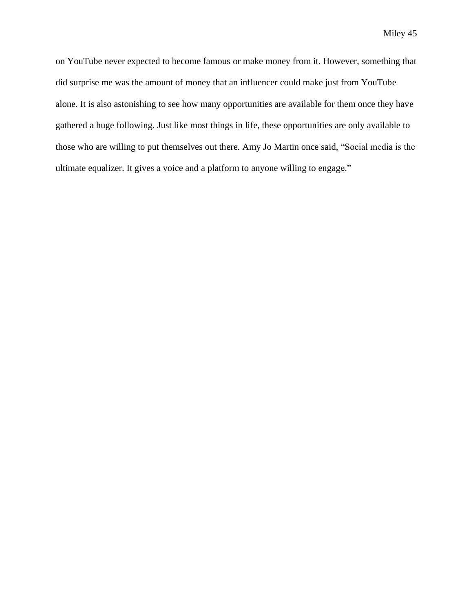on YouTube never expected to become famous or make money from it. However, something that did surprise me was the amount of money that an influencer could make just from YouTube alone. It is also astonishing to see how many opportunities are available for them once they have gathered a huge following. Just like most things in life, these opportunities are only available to those who are willing to put themselves out there. Amy Jo Martin once said, "Social media is the ultimate equalizer. It gives a voice and a platform to anyone willing to engage."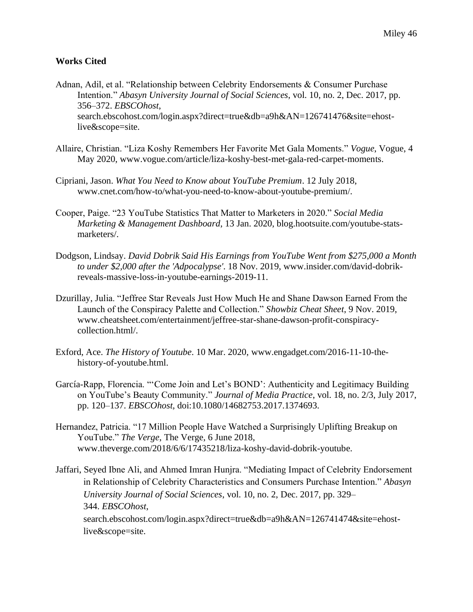#### **Works Cited**

- Adnan, Adil, et al. "Relationship between Celebrity Endorsements & Consumer Purchase Intention." *Abasyn University Journal of Social Sciences*, vol. 10, no. 2, Dec. 2017, pp. 356–372. *EBSCOhost*, search.ebscohost.com/login.aspx?direct=true&db=a9h&AN=126741476&site=ehostlive&scope=site.
- Allaire, Christian. "Liza Koshy Remembers Her Favorite Met Gala Moments." *Vogue*, Vogue, 4 May 2020, www.vogue.com/article/liza-koshy-best-met-gala-red-carpet-moments.
- Cipriani, Jason. *What You Need to Know about YouTube Premium*. 12 July 2018, www.cnet.com/how-to/what-you-need-to-know-about-youtube-premium/.
- Cooper, Paige. "23 YouTube Statistics That Matter to Marketers in 2020." *Social Media Marketing & Management Dashboard*, 13 Jan. 2020, blog.hootsuite.com/youtube-statsmarketers/.
- Dodgson, Lindsay. *David Dobrik Said His Earnings from YouTube Went from \$275,000 a Month to under \$2,000 after the 'Adpocalypse'*. 18 Nov. 2019, www.insider.com/david-dobrikreveals-massive-loss-in-youtube-earnings-2019-11.
- Dzurillay, Julia. "Jeffree Star Reveals Just How Much He and Shane Dawson Earned From the Launch of the Conspiracy Palette and Collection." *Showbiz Cheat Sheet*, 9 Nov. 2019, www.cheatsheet.com/entertainment/jeffree-star-shane-dawson-profit-conspiracycollection.html/.
- Exford, Ace. *The History of Youtube*. 10 Mar. 2020, www.engadget.com/2016-11-10-thehistory-of-youtube.html.
- García-Rapp, Florencia. "'Come Join and Let's BOND': Authenticity and Legitimacy Building on YouTube's Beauty Community." *Journal of Media Practice*, vol. 18, no. 2/3, July 2017, pp. 120–137. *EBSCOhost*, doi:10.1080/14682753.2017.1374693.
- Hernandez, Patricia. "17 Million People Have Watched a Surprisingly Uplifting Breakup on YouTube." *The Verge*, The Verge, 6 June 2018, www.theverge.com/2018/6/6/17435218/liza-koshy-david-dobrik-youtube.
- Jaffari, Seyed Ibne Ali, and Ahmed Imran Hunjra. "Mediating Impact of Celebrity Endorsement in Relationship of Celebrity Characteristics and Consumers Purchase Intention." *Abasyn University Journal of Social Sciences*, vol. 10, no. 2, Dec. 2017, pp. 329– 344. *EBSCOhost*, search.ebscohost.com/login.aspx?direct=true&db=a9h&AN=126741474&site=ehostlive&scope=site.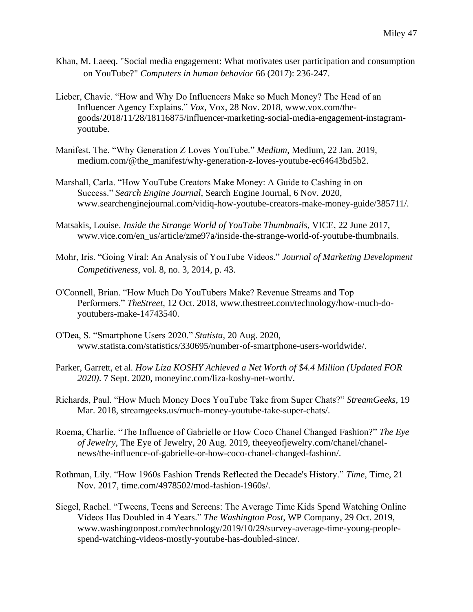- Khan, M. Laeeq. "Social media engagement: What motivates user participation and consumption on YouTube?" *Computers in human behavior* 66 (2017): 236-247.
- Lieber, Chavie. "How and Why Do Influencers Make so Much Money? The Head of an Influencer Agency Explains." *Vox*, Vox, 28 Nov. 2018, www.vox.com/thegoods/2018/11/28/18116875/influencer-marketing-social-media-engagement-instagramyoutube.
- Manifest, The. "Why Generation Z Loves YouTube." *Medium*, Medium, 22 Jan. 2019, medium.com/@the\_manifest/why-generation-z-loves-youtube-ec64643bd5b2.
- Marshall, Carla. "How YouTube Creators Make Money: A Guide to Cashing in on Success." *Search Engine Journal*, Search Engine Journal, 6 Nov. 2020, www.searchenginejournal.com/vidiq-how-youtube-creators-make-money-guide/385711/.
- Matsakis, Louise. *Inside the Strange World of YouTube Thumbnails*, VICE, 22 June 2017, www.vice.com/en\_us/article/zme97a/inside-the-strange-world-of-youtube-thumbnails.
- Mohr, Iris. "Going Viral: An Analysis of YouTube Videos." *Journal of Marketing Development Competitiveness*, vol. 8, no. 3, 2014, p. 43.
- O'Connell, Brian. "How Much Do YouTubers Make? Revenue Streams and Top Performers." *TheStreet*, 12 Oct. 2018, www.thestreet.com/technology/how-much-doyoutubers-make-14743540.
- O'Dea, S. "Smartphone Users 2020." *Statista*, 20 Aug. 2020, www.statista.com/statistics/330695/number-of-smartphone-users-worldwide/.
- Parker, Garrett, et al. *How Liza KOSHY Achieved a Net Worth of \$4.4 Million (Updated FOR 2020)*. 7 Sept. 2020, moneyinc.com/liza-koshy-net-worth/.
- Richards, Paul. "How Much Money Does YouTube Take from Super Chats?" *StreamGeeks*, 19 Mar. 2018, streamgeeks.us/much-money-youtube-take-super-chats/.
- Roema, Charlie. "The Influence of Gabrielle or How Coco Chanel Changed Fashion?" *The Eye of Jewelry*, The Eye of Jewelry, 20 Aug. 2019, theeyeofjewelry.com/chanel/chanelnews/the-influence-of-gabrielle-or-how-coco-chanel-changed-fashion/.
- Rothman, Lily. "How 1960s Fashion Trends Reflected the Decade's History." *Time*, Time, 21 Nov. 2017, time.com/4978502/mod-fashion-1960s/.
- Siegel, Rachel. "Tweens, Teens and Screens: The Average Time Kids Spend Watching Online Videos Has Doubled in 4 Years." *The Washington Post*, WP Company, 29 Oct. 2019, www.washingtonpost.com/technology/2019/10/29/survey-average-time-young-peoplespend-watching-videos-mostly-youtube-has-doubled-since/.